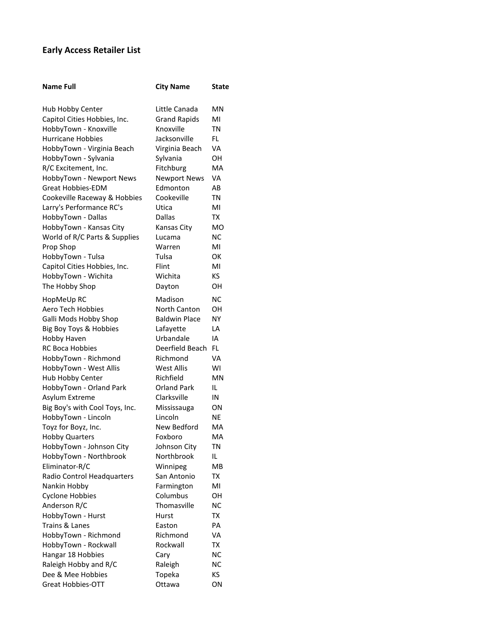## **Early Access Retailer List**

| <b>Name Full</b>               | <b>City Name</b>     | State     |
|--------------------------------|----------------------|-----------|
|                                |                      |           |
| Hub Hobby Center               | Little Canada        | MN        |
| Capitol Cities Hobbies, Inc.   | <b>Grand Rapids</b>  | MI        |
| HobbyTown - Knoxville          | Knoxville            | TN        |
| <b>Hurricane Hobbies</b>       | Jacksonville         | FL.       |
| HobbyTown - Virginia Beach     | Virginia Beach       | VA        |
| HobbyTown - Sylvania           | Sylvania             | OН        |
| R/C Excitement, Inc.           | Fitchburg            | MA        |
| HobbyTown - Newport News       | <b>Newport News</b>  | VA        |
| Great Hobbies-EDM              | Edmonton             | AB        |
| Cookeville Raceway & Hobbies   | Cookeville           | ΤN        |
| Larry's Performance RC's       | Utica                | MI        |
| HobbyTown - Dallas             | Dallas               | ТX        |
| HobbyTown - Kansas City        | Kansas City          | MO        |
| World of R/C Parts & Supplies  | Lucama               | ΝC        |
| Prop Shop                      | Warren               | MI        |
| HobbyTown - Tulsa              | Tulsa                | ОΚ        |
| Capitol Cities Hobbies, Inc.   | Flint                | MI        |
| HobbyTown - Wichita            | Wichita              | KS.       |
| The Hobby Shop                 | Dayton               | OН        |
|                                | Madison              | NC        |
| HopMeUp RC                     |                      |           |
| Aero Tech Hobbies              | North Canton         | OН        |
| Galli Mods Hobby Shop          | <b>Baldwin Place</b> | <b>NY</b> |
| Big Boy Toys & Hobbies         | Lafayette            | LA        |
| Hobby Haven                    | Urbandale            | IA        |
| RC Boca Hobbies                | Deerfield Beach      | FL.       |
| HobbyTown - Richmond           | Richmond             | VA        |
| HobbyTown - West Allis         | <b>West Allis</b>    | WI        |
| Hub Hobby Center               | Richfield            | <b>MN</b> |
| HobbyTown - Orland Park        | Orland Park          | IL        |
| Asylum Extreme                 | Clarksville          | IN        |
| Big Boy's with Cool Toys, Inc. | Mississauga          | ON        |
| HobbyTown - Lincoln            | Lincoln              | NE        |
| Toyz for Boyz, Inc.            | New Bedford          | MA        |
| <b>Hobby Quarters</b>          | Foxboro              | MA        |
| HobbyTown - Johnson City       | Johnson City         | ΤN        |
| HobbyTown - Northbrook         | Northbrook           | IL.       |
| Eliminator-R/C                 | Winnipeg             | MB        |
| Radio Control Headquarters     | San Antonio          | ТX        |
| Nankin Hobby                   | Farmington           | MI        |
| <b>Cyclone Hobbies</b>         | Columbus             | OН        |
| Anderson R/C                   | Thomasville          | <b>NC</b> |
| HobbyTown - Hurst              | Hurst                | <b>TX</b> |
| Trains & Lanes                 | Easton               | PA        |
| HobbyTown - Richmond           | Richmond             | VA        |
| HobbyTown - Rockwall           | Rockwall             | TX        |
| Hangar 18 Hobbies              | Cary                 | <b>NC</b> |
| Raleigh Hobby and R/C          | Raleigh              | <b>NC</b> |
| Dee & Mee Hobbies              | Topeka               | ΚS        |
| <b>Great Hobbies-OTT</b>       | Ottawa               | ON        |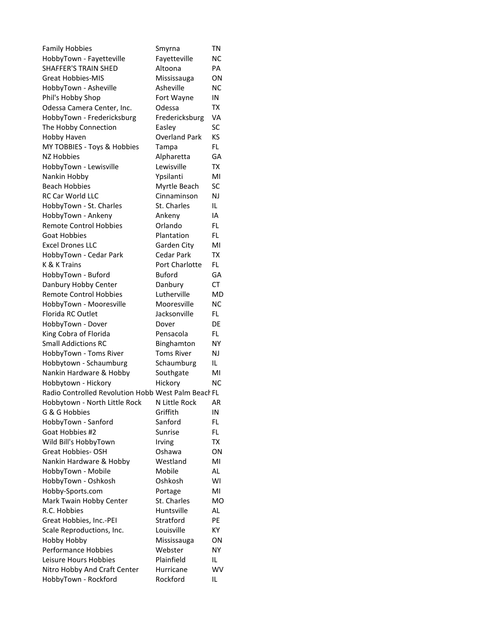| <b>Family Hobbies</b>                               | Smyrna               | ΤN        |
|-----------------------------------------------------|----------------------|-----------|
| HobbyTown - Fayetteville                            | Fayetteville         | ΝC        |
| <b>SHAFFER'S TRAIN SHED</b>                         | Altoona              | PA        |
| <b>Great Hobbies-MIS</b>                            | Mississauga          | ON        |
| HobbyTown - Asheville                               | Asheville            | ΝC        |
| Phil's Hobby Shop                                   | Fort Wayne           | ΙN        |
| Odessa Camera Center, Inc.                          | Odessa               | TX        |
| HobbyTown - Fredericksburg                          | Fredericksburg       | VA        |
| The Hobby Connection                                | Easley               | <b>SC</b> |
| Hobby Haven                                         | <b>Overland Park</b> | KS        |
| MY TOBBIES - Toys & Hobbies                         | Tampa                | FL.       |
| NZ Hobbies                                          | Alpharetta           | GA        |
| HobbyTown - Lewisville                              | Lewisville           | <b>TX</b> |
| Nankin Hobby                                        | Ypsilanti            | MI        |
| <b>Beach Hobbies</b>                                | Myrtle Beach         | SC        |
| <b>RC Car World LLC</b>                             | Cinnaminson          | NJ        |
| HobbyTown - St. Charles                             | St. Charles          | IL.       |
| HobbyTown - Ankeny                                  | Ankeny               | IA        |
| <b>Remote Control Hobbies</b>                       | Orlando              | FL.       |
| <b>Goat Hobbies</b>                                 | Plantation           | FL.       |
| <b>Excel Drones LLC</b>                             | Garden City          | MI        |
| HobbyTown - Cedar Park                              | Cedar Park           | <b>TX</b> |
| K & K Trains                                        | Port Charlotte       | FL.       |
| HobbyTown - Buford                                  | <b>Buford</b>        | GA        |
| Danbury Hobby Center                                | Danbury              | СT        |
| <b>Remote Control Hobbies</b>                       | Lutherville          | MD        |
|                                                     | Mooresville          | <b>NC</b> |
| HobbyTown - Mooresville                             |                      |           |
| Florida RC Outlet                                   | Jacksonville         | FL.       |
| HobbyTown - Dover                                   | Dover                | DE        |
| King Cobra of Florida                               | Pensacola            | FL.       |
| <b>Small Addictions RC</b>                          | Binghamton           | NΥ        |
| HobbyTown - Toms River                              | <b>Toms River</b>    | NJ        |
| Hobbytown - Schaumburg                              | Schaumburg           | IL.       |
| Nankin Hardware & Hobby                             | Southgate            | MI        |
| Hobbytown - Hickory                                 | Hickory              | ΝC        |
| Radio Controlled Revolution Hobb West Palm Beach FL |                      |           |
| Hobbytown - North Little Rock N Little Rock AR      |                      |           |
| G & G Hobbies                                       | Griffith             | IN        |
| HobbyTown - Sanford                                 | Sanford              | FL.       |
| Goat Hobbies #2                                     | Sunrise              | FL        |
| Wild Bill's HobbyTown                               | Irving               | ТX        |
| Great Hobbies-OSH                                   | Oshawa               | ON        |
| Nankin Hardware & Hobby                             | Westland             | MI        |
| HobbyTown - Mobile                                  | Mobile               | AL        |
| HobbyTown - Oshkosh                                 | Oshkosh              | WI        |
| Hobby-Sports.com                                    | Portage              | MI        |
| Mark Twain Hobby Center                             | St. Charles          | <b>MO</b> |
| R.C. Hobbies                                        | Huntsville           | AL        |
| Great Hobbies, Inc.-PEI                             | Stratford            | PE        |
| Scale Reproductions, Inc.                           | Louisville           | ΚY        |
| Hobby Hobby                                         | Mississauga          | ΟN        |
| Performance Hobbies                                 | Webster              | NΥ        |
| Leisure Hours Hobbies                               | Plainfield           | IL        |
| Nitro Hobby And Craft Center                        | Hurricane            | WV        |
| HobbyTown - Rockford                                | Rockford             | IL        |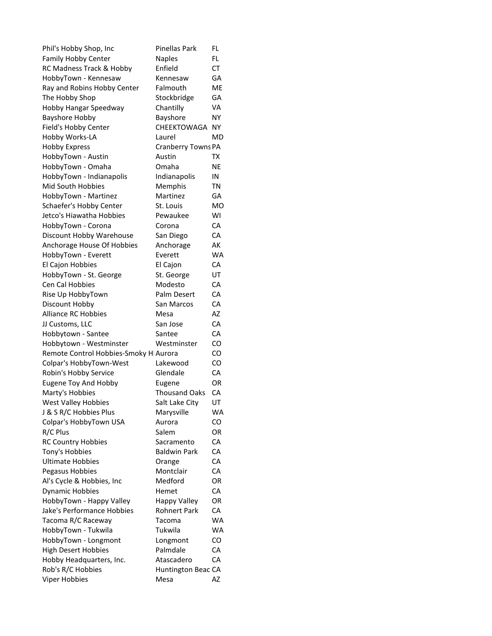| Phil's Hobby Shop, Inc                      | <b>Pinellas Park</b> | FL.       |
|---------------------------------------------|----------------------|-----------|
| Family Hobby Center                         | <b>Naples</b>        | FL        |
| RC Madness Track & Hobby                    | Enfield              | CT        |
| HobbyTown - Kennesaw                        | Kennesaw             | GA        |
| Ray and Robins Hobby Center                 | Falmouth             | <b>ME</b> |
| The Hobby Shop                              | Stockbridge          | GA        |
| Hobby Hangar Speedway                       | Chantilly            | VA        |
| <b>Bayshore Hobby</b>                       | Bayshore             | <b>NY</b> |
| Field's Hobby Center                        | CHEEKTOWAGA          | NΥ        |
| Hobby Works-LA                              | Laurel               | <b>MD</b> |
| <b>Hobby Express</b>                        | Cranberry Towns PA   |           |
| HobbyTown - Austin                          | Austin               | ТX        |
| HobbyTown - Omaha                           | Omaha                | <b>NE</b> |
| HobbyTown - Indianapolis                    | Indianapolis         | IN        |
| Mid South Hobbies                           | Memphis              | <b>TN</b> |
| HobbyTown - Martinez                        | Martinez             | GA        |
| Schaefer's Hobby Center                     | St. Louis            | MO        |
| Jetco's Hiawatha Hobbies                    | Pewaukee             | WI        |
| HobbyTown - Corona                          | Corona               | CA        |
| Discount Hobby Warehouse                    | San Diego            | CA        |
| Anchorage House Of Hobbies                  | Anchorage            | АK        |
| HobbyTown - Everett                         | Everett              | <b>WA</b> |
| El Cajon Hobbies                            | El Cajon             | CA        |
| HobbyTown - St. George                      | St. George           | UT        |
| Cen Cal Hobbies                             | Modesto              | CA        |
| Rise Up HobbyTown                           | Palm Desert          | CA        |
| Discount Hobby                              | San Marcos           | CA        |
| <b>Alliance RC Hobbies</b>                  | Mesa                 | AZ        |
| JJ Customs, LLC                             | San Jose             | CA        |
| Hobbytown - Santee                          | Santee               | CA        |
| Hobbytown - Westminster                     | Westminster          | CO        |
| Remote Control Hobbies-Smoky H Aurora       |                      | CO        |
| Colpar's HobbyTown-West                     | Lakewood             | CO        |
| Robin's Hobby Service                       | Glendale             | CA        |
| <b>Eugene Toy And Hobby</b>                 | Eugene               | OR        |
| Marty's Hobbies                             | <b>Thousand Oaks</b> | CA        |
| West Valley Hobbies                         | Salt Lake Citv       | UT        |
| J & S R/C Hobbies Plus                      | Marysville           | WA        |
| Colpar's HobbyTown USA                      | Aurora               | CO        |
| R/C Plus                                    | Salem                | OR        |
| <b>RC Country Hobbies</b>                   | Sacramento           | CA        |
| Tony's Hobbies                              | <b>Baldwin Park</b>  | CA        |
| <b>Ultimate Hobbies</b>                     | Orange               | CA        |
| Pegasus Hobbies                             | Montclair            | CA        |
| Al's Cycle & Hobbies, Inc                   | Medford              | OR        |
| <b>Dynamic Hobbies</b>                      | Hemet                | СA        |
| HobbyTown - Happy Valley                    | <b>Happy Valley</b>  | OR        |
| Jake's Performance Hobbies                  | <b>Rohnert Park</b>  | CA        |
| Tacoma R/C Raceway                          | Tacoma               | WA        |
|                                             |                      |           |
| HobbyTown - Tukwila<br>HobbyTown - Longmont | Tukwila              | WA<br>CO  |
|                                             | Longmont<br>Palmdale | СA        |
| <b>High Desert Hobbies</b>                  | Atascadero           | СA        |
| Hobby Headquarters, Inc.                    |                      |           |
| Rob's R/C Hobbies                           | Huntington Beac CA   | AZ        |
| Viper Hobbies                               | Mesa                 |           |